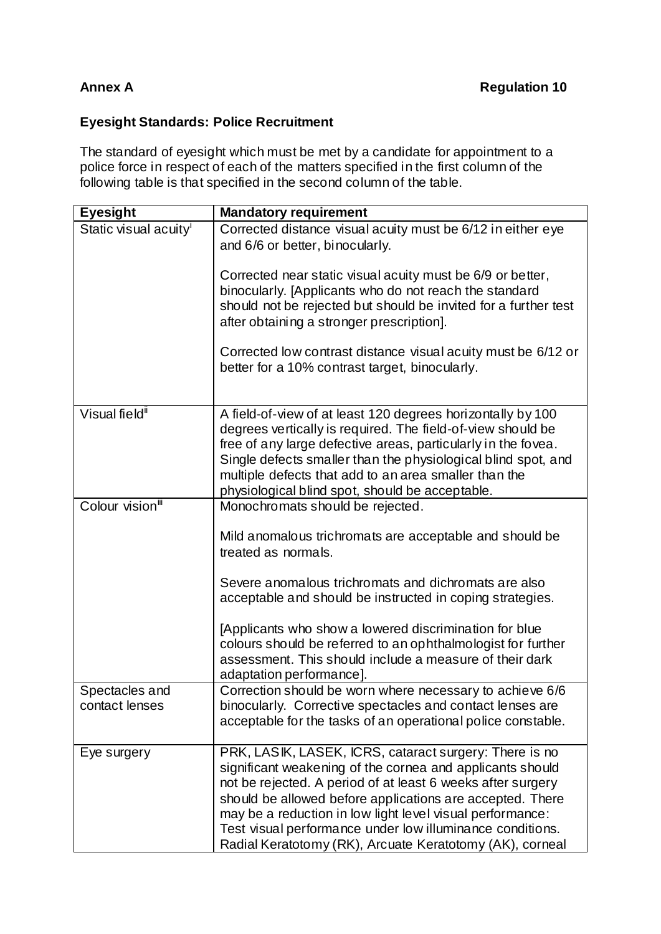## **Eyesight Standards: Police Recruitment**

The standard of eyesight which must be met by a candidate for appointment to a police force in respect of each of the matters specified in the first column of the following table is that specified in the second column of the table.

| <b>Eyesight</b>                   | <b>Mandatory requirement</b>                                                                                                 |
|-----------------------------------|------------------------------------------------------------------------------------------------------------------------------|
| Static visual acuity <sup>i</sup> | Corrected distance visual acuity must be 6/12 in either eye                                                                  |
|                                   | and 6/6 or better, binocularly.                                                                                              |
|                                   | Corrected near static visual acuity must be 6/9 or better,                                                                   |
|                                   | binocularly. [Applicants who do not reach the standard                                                                       |
|                                   | should not be rejected but should be invited for a further test<br>after obtaining a stronger prescription].                 |
|                                   |                                                                                                                              |
|                                   | Corrected low contrast distance visual acuity must be 6/12 or                                                                |
|                                   | better for a 10% contrast target, binocularly.                                                                               |
|                                   |                                                                                                                              |
| Visual field <sup>ii</sup>        | A field-of-view of at least 120 degrees horizontally by 100                                                                  |
|                                   | degrees vertically is required. The field-of-view should be<br>free of any large defective areas, particularly in the fovea. |
|                                   | Single defects smaller than the physiological blind spot, and                                                                |
|                                   | multiple defects that add to an area smaller than the                                                                        |
|                                   | physiological blind spot, should be acceptable.                                                                              |
| Colour vision <sup>iii</sup>      | Monochromats should be rejected.                                                                                             |
|                                   | Mild anomalous trichromats are acceptable and should be                                                                      |
|                                   | treated as normals.                                                                                                          |
|                                   | Severe anomalous trichromats and dichromats are also                                                                         |
|                                   | acceptable and should be instructed in coping strategies.                                                                    |
|                                   |                                                                                                                              |
|                                   | [Applicants who show a lowered discrimination for blue<br>colours should be referred to an ophthalmologist for further       |
|                                   | assessment. This should include a measure of their dark                                                                      |
|                                   | adaptation performance].                                                                                                     |
| Spectacles and                    | Correction should be worn where necessary to achieve 6/6                                                                     |
| contact lenses                    | binocularly. Corrective spectacles and contact lenses are<br>acceptable for the tasks of an operational police constable.    |
|                                   |                                                                                                                              |
| Eye surgery                       | PRK, LASIK, LASEK, ICRS, cataract surgery: There is no                                                                       |
|                                   | significant weakening of the cornea and applicants should                                                                    |
|                                   | not be rejected. A period of at least 6 weeks after surgery<br>should be allowed before applications are accepted. There     |
|                                   | may be a reduction in low light level visual performance:                                                                    |
|                                   | Test visual performance under low illuminance conditions.                                                                    |
|                                   | Radial Keratotomy (RK), Arcuate Keratotomy (AK), corneal                                                                     |